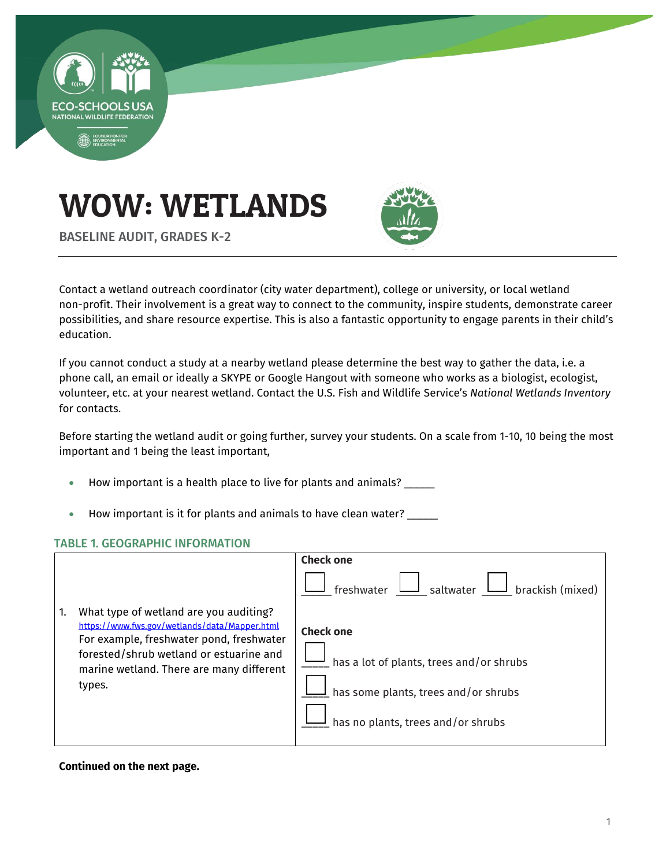

# WOW: WETLANDS



BASELINE AUDIT, GRADES K-2

Contact a wetland outreach coordinator (city water department), college or university, or local wetland non-profit. Their involvement is a great way to connect to the community, inspire students, demonstrate career possibilities, and share resource expertise. This is also a fantastic opportunity to engage parents in their child's education.

If you cannot conduct a study at a nearby wetland please determine the best way to gather the data, i.e. a phone call, an email or ideally a SKYPE or Google Hangout with someone who works as a biologist, ecologist, volunteer, etc. at your nearest wetland. Contact the U.S. Fish and Wildlife Service's *National Wetlands Inventory* for contacts.

Before starting the wetland audit or going further, survey your students. On a scale from 1-10, 10 being the most important and 1 being the least important,

- How important is a health place to live for plants and animals?
- How important is it for plants and animals to have clean water? \_\_\_\_\_

#### TABLE 1. GEOGRAPHIC INFORMATION

|    |                                                                                                                                                                                                                                      | <b>Check one</b>                                                                                                                                                        |
|----|--------------------------------------------------------------------------------------------------------------------------------------------------------------------------------------------------------------------------------------|-------------------------------------------------------------------------------------------------------------------------------------------------------------------------|
| 1. | What type of wetland are you auditing?<br>https://www.fws.gov/wetlands/data/Mapper.html<br>For example, freshwater pond, freshwater<br>forested/shrub wetland or estuarine and<br>marine wetland. There are many different<br>types. | $\mathrel{\mathop{\rule{.15pt}{0.5pt}}\nolimits_{}}$ saltwater<br>$\Box$ brackish (mixed)<br>freshwater<br><b>Check one</b><br>has a lot of plants, trees and/or shrubs |
|    |                                                                                                                                                                                                                                      | has some plants, trees and/or shrubs<br>has no plants, trees and/or shrubs                                                                                              |

#### **Continued on the next page.**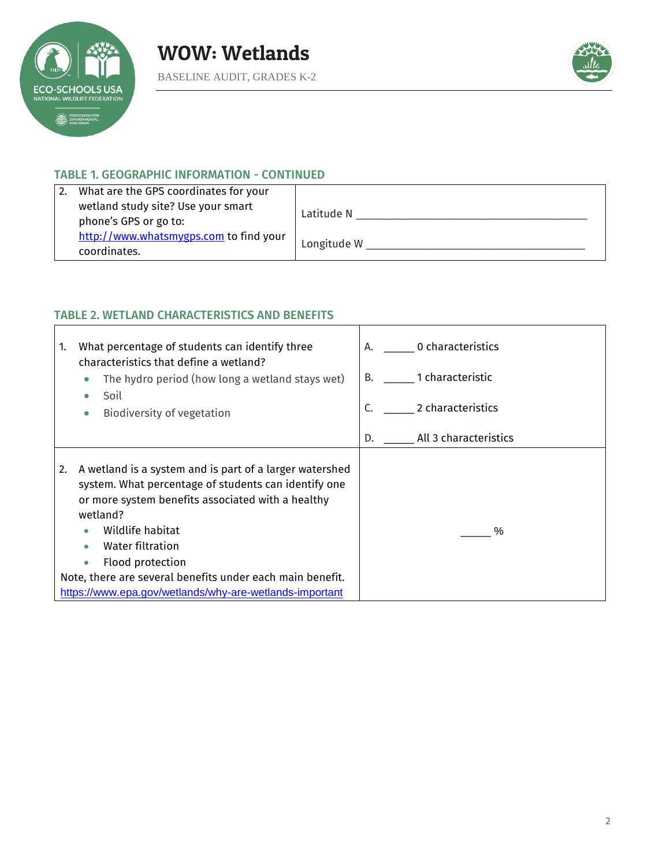



# TABLE 1. GEOGRAPHIC INFORMATION - CONTINUED

| 2. | What are the GPS coordinates for your                  |             |
|----|--------------------------------------------------------|-------------|
|    | wetland study site? Use your smart                     |             |
|    | phone's GPS or go to:                                  | Latitude N  |
|    | http://www.whatsmygps.com to find your<br>coordinates. | Longitude W |

# TABLE 2. WETLAND CHARACTERISTICS AND BENEFITS

| What percentage of students can identify three<br>$\mathbf{1}$<br>characteristics that define a wetland?<br>The hydro period (how long a wetland stays wet)<br>$\bullet$<br>Soil<br>Biodiversity of vegetation                                                                                                                                                                          | 0 characteristics<br>А.<br>1 characteristic<br>B.<br>2 characteristics |
|-----------------------------------------------------------------------------------------------------------------------------------------------------------------------------------------------------------------------------------------------------------------------------------------------------------------------------------------------------------------------------------------|------------------------------------------------------------------------|
|                                                                                                                                                                                                                                                                                                                                                                                         | All 3 characteristics<br>D.                                            |
| A wetland is a system and is part of a larger watershed<br>2.<br>system. What percentage of students can identify one<br>or more system benefits associated with a healthy<br>wetland?<br>Wildlife habitat<br>Water filtration<br>Flood protection<br>$\bullet$<br>Note, there are several benefits under each main benefit.<br>https://www.epa.gov/wetlands/why-are-wetlands-important | $\%$                                                                   |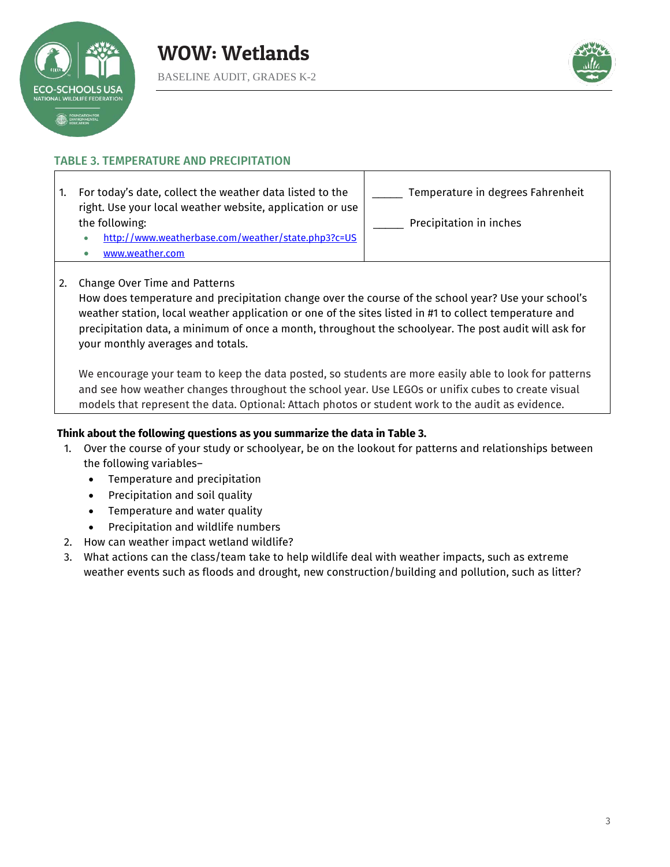



# TABLE 3. TEMPERATURE AND PRECIPITATION

1. For today's date, collect the weather data listed to the right. Use your local weather website, application or use the following:

| ແບໜມາຽ.                                           |  |
|---------------------------------------------------|--|
| ttn://www.weatherhase.com/weather/state.nhn3?c=US |  |

[www.weather.com](http://www.weather.com/)

| $-$ | Temperature in degrees Fahrenheit |  |  |
|-----|-----------------------------------|--|--|
|     |                                   |  |  |

Precipitation in inches

- . <http://www.weatherbase.com/weather/state.php3?c=US>
- 
- 2. Change Over Time and Patterns

How does temperature and precipitation change over the course of the school year? Use your school's weather station, local weather application or one of the sites listed in #1 to collect temperature and precipitation data, a minimum of once a month, throughout the schoolyear. The post audit will ask for your monthly averages and totals.

We encourage your team to keep the data posted, so students are more easily able to look for patterns and see how weather changes throughout the school year. Use LEGOs or unifix cubes to create visual models that represent the data. Optional: Attach photos or student work to the audit as evidence.

### **Think about the following questions as you summarize the data in Table 3.**

- 1. Over the course of your study or schoolyear, be on the lookout for patterns and relationships between the following variables–
	- Temperature and precipitation
	- Precipitation and soil quality
	- Temperature and water quality
	- Precipitation and wildlife numbers
- 2. How can weather impact wetland wildlife?
- 3. What actions can the class/team take to help wildlife deal with weather impacts, such as extreme weather events such as floods and drought, new construction/building and pollution, such as litter?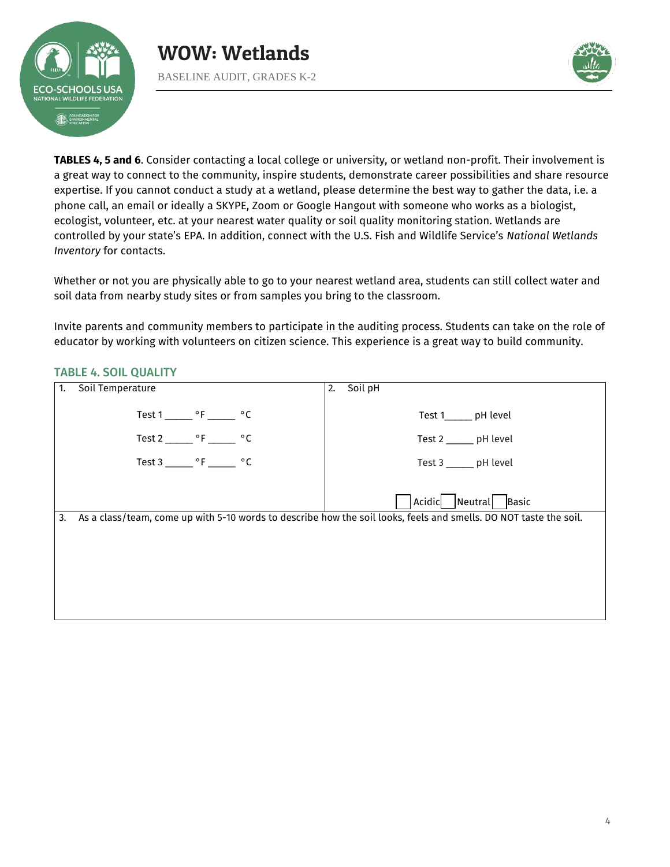



**TABLES 4, 5 and 6**. Consider contacting a local college or university, or wetland non-profit. Their involvement is a great way to connect to the community, inspire students, demonstrate career possibilities and share resource expertise. If you cannot conduct a study at a wetland, please determine the best way to gather the data, i.e. a phone call, an email or ideally a SKYPE, Zoom or Google Hangout with someone who works as a biologist, ecologist, volunteer, etc. at your nearest water quality or soil quality monitoring station. Wetlands are controlled by your state's EPA. In addition, connect with the U.S. Fish and Wildlife Service's *National Wetlands Inventory* for contacts.

Whether or not you are physically able to go to your nearest wetland area, students can still collect water and soil data from nearby study sites or from samples you bring to the classroom.

Invite parents and community members to participate in the auditing process. Students can take on the role of educator by working with volunteers on citizen science. This experience is a great way to build community.

# TABLE 4. SOIL QUALITY

| Soil Temperature                            | 2. Soil pH                                                                                                        |
|---------------------------------------------|-------------------------------------------------------------------------------------------------------------------|
| Test $1 \_\_\_\circ$ °F $\_\_\_\circ$ °C    | Test 1_______ pH level                                                                                            |
| Test 2 _______ $\circ$ F ______ $\circ$ C   | Test 2 ______ pH level                                                                                            |
| Test 3 ________ $\circ$ F _______ $\circ$ C | Test 3 _______ pH level                                                                                           |
|                                             | Acidic<br>Neutral Basic                                                                                           |
|                                             | As a class/team, come up with 5-10 words to describe how the soil looks, feels and smells. DO NOT taste the soil. |
|                                             |                                                                                                                   |
|                                             |                                                                                                                   |
|                                             |                                                                                                                   |
|                                             |                                                                                                                   |
|                                             |                                                                                                                   |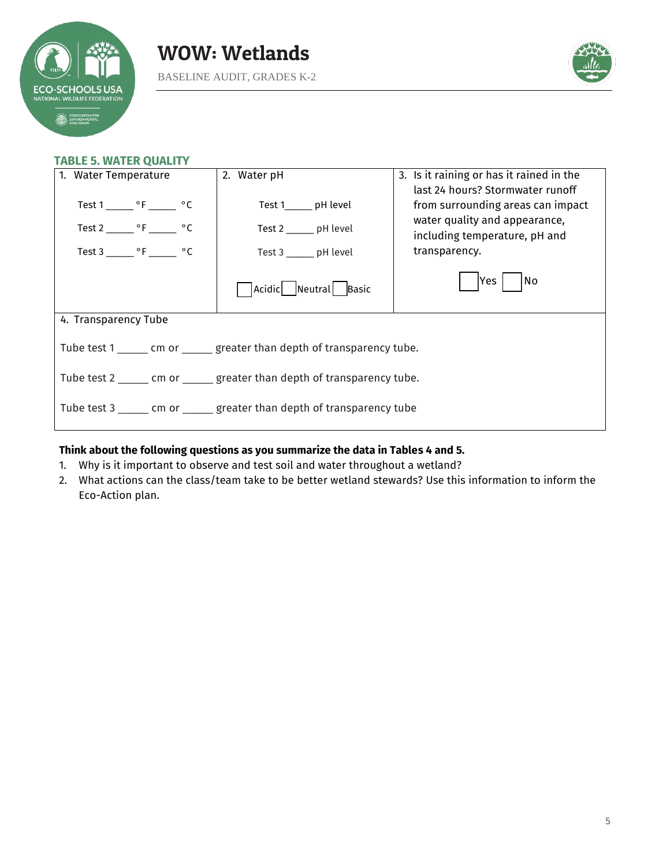



#### **TABLE 5. WATER QUALITY**

| 1. Water Temperature                                                       | 2. Water pH             | 3. Is it raining or has it rained in the |  |  |  |
|----------------------------------------------------------------------------|-------------------------|------------------------------------------|--|--|--|
|                                                                            |                         | last 24 hours? Stormwater runoff         |  |  |  |
| Test 1 _______ °F ______ °C                                                | Test 1_______ pH level  | from surrounding areas can impact        |  |  |  |
| Test 2 _______ $\circ$ F _______ $\circ$ C                                 | Test 2 _______ pH level | water quality and appearance,            |  |  |  |
|                                                                            |                         | including temperature, pH and            |  |  |  |
| Test $3 \_\_\_\_\$ °F $\_\_\_\$ °C                                         | Test 3 _______ pH level | transparency.                            |  |  |  |
|                                                                            | Acidic Neutral Basic    | No<br>Yes                                |  |  |  |
| 4. Transparency Tube                                                       |                         |                                          |  |  |  |
| Tube test 1 _______ cm or _______ greater than depth of transparency tube. |                         |                                          |  |  |  |
| Tube test 2 _______ cm or ______ greater than depth of transparency tube.  |                         |                                          |  |  |  |
| Tube test 3 ______ cm or ______ greater than depth of transparency tube    |                         |                                          |  |  |  |

# **Think about the following questions as you summarize the data in Tables 4 and 5.**

- 1. Why is it important to observe and test soil and water throughout a wetland?
- 2. What actions can the class/team take to be better wetland stewards? Use this information to inform the Eco-Action plan.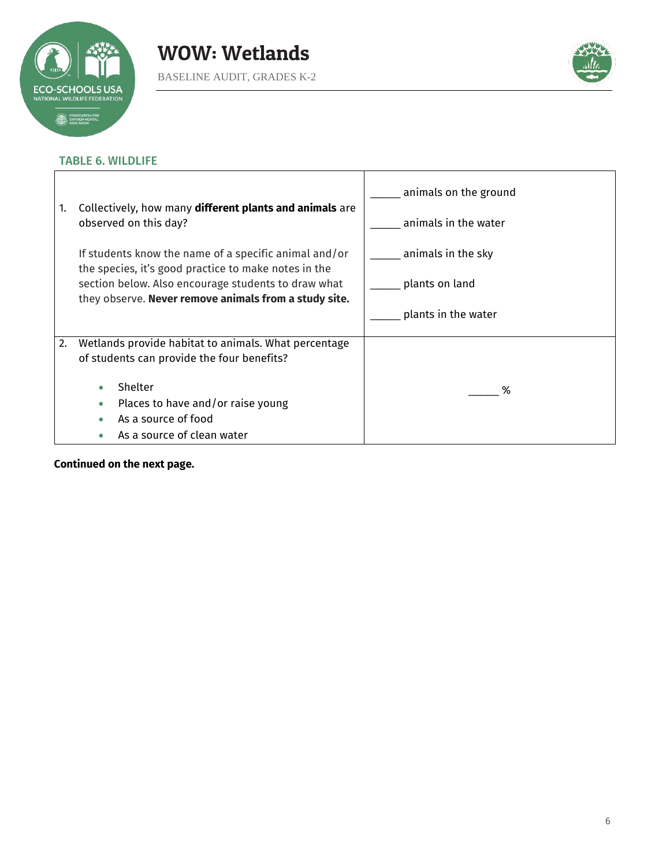

 $\mathbf{r}$ 



٦

# TABLE 6. WILDLIFE

| Collectively, how many different plants and animals are<br>1.<br>observed on this day? |                                                                                                               | animals on the ground |
|----------------------------------------------------------------------------------------|---------------------------------------------------------------------------------------------------------------|-----------------------|
|                                                                                        |                                                                                                               | animals in the water  |
|                                                                                        | If students know the name of a specific animal and/or<br>the species, it's good practice to make notes in the | animals in the sky    |
|                                                                                        | section below. Also encourage students to draw what<br>they observe. Never remove animals from a study site.  | plants on land        |
|                                                                                        |                                                                                                               | plants in the water   |
|                                                                                        | 2.<br>Wetlands provide habitat to animals. What percentage                                                    |                       |
|                                                                                        | of students can provide the four benefits?                                                                    |                       |
|                                                                                        | Shelter<br>۰                                                                                                  | ℅                     |
|                                                                                        | Places to have and/or raise young<br>۰                                                                        |                       |
|                                                                                        | As a source of food                                                                                           |                       |
|                                                                                        | As a source of clean water                                                                                    |                       |

T

**Continued on the next page.**